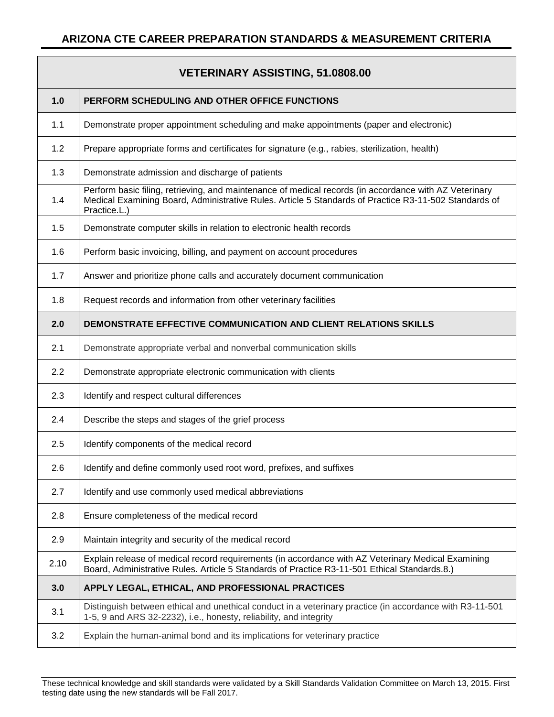|      | <b>VETERINARY ASSISTING, 51.0808.00</b>                                                                                                                                                                                         |
|------|---------------------------------------------------------------------------------------------------------------------------------------------------------------------------------------------------------------------------------|
| 1.0  | PERFORM SCHEDULING AND OTHER OFFICE FUNCTIONS                                                                                                                                                                                   |
| 1.1  | Demonstrate proper appointment scheduling and make appointments (paper and electronic)                                                                                                                                          |
| 1.2  | Prepare appropriate forms and certificates for signature (e.g., rabies, sterilization, health)                                                                                                                                  |
| 1.3  | Demonstrate admission and discharge of patients                                                                                                                                                                                 |
| 1.4  | Perform basic filing, retrieving, and maintenance of medical records (in accordance with AZ Veterinary<br>Medical Examining Board, Administrative Rules. Article 5 Standards of Practice R3-11-502 Standards of<br>Practice.L.) |
| 1.5  | Demonstrate computer skills in relation to electronic health records                                                                                                                                                            |
| 1.6  | Perform basic invoicing, billing, and payment on account procedures                                                                                                                                                             |
| 1.7  | Answer and prioritize phone calls and accurately document communication                                                                                                                                                         |
| 1.8  | Request records and information from other veterinary facilities                                                                                                                                                                |
| 2.0  | <b>DEMONSTRATE EFFECTIVE COMMUNICATION AND CLIENT RELATIONS SKILLS</b>                                                                                                                                                          |
| 2.1  | Demonstrate appropriate verbal and nonverbal communication skills                                                                                                                                                               |
| 2.2  | Demonstrate appropriate electronic communication with clients                                                                                                                                                                   |
| 2.3  | Identify and respect cultural differences                                                                                                                                                                                       |
| 2.4  | Describe the steps and stages of the grief process                                                                                                                                                                              |
| 2.5  | Identify components of the medical record                                                                                                                                                                                       |
| 2.6  | Identify and define commonly used root word, prefixes, and suffixes                                                                                                                                                             |
| 2.7  | Identify and use commonly used medical abbreviations                                                                                                                                                                            |
| 2.8  | Ensure completeness of the medical record                                                                                                                                                                                       |
| 2.9  | Maintain integrity and security of the medical record                                                                                                                                                                           |
| 2.10 | Explain release of medical record requirements (in accordance with AZ Veterinary Medical Examining<br>Board, Administrative Rules. Article 5 Standards of Practice R3-11-501 Ethical Standards.8.)                              |
| 3.0  | APPLY LEGAL, ETHICAL, AND PROFESSIONAL PRACTICES                                                                                                                                                                                |
| 3.1  | Distinguish between ethical and unethical conduct in a veterinary practice (in accordance with R3-11-501<br>1-5, 9 and ARS 32-2232), i.e., honesty, reliability, and integrity                                                  |
| 3.2  | Explain the human-animal bond and its implications for veterinary practice                                                                                                                                                      |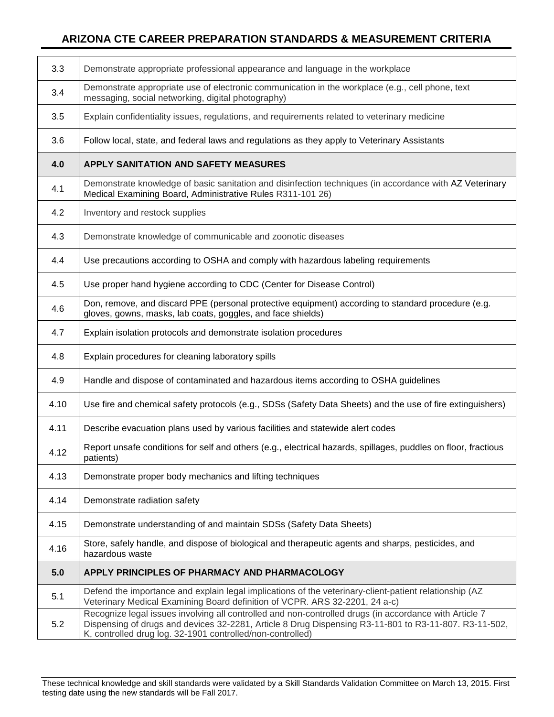| 3.3  | Demonstrate appropriate professional appearance and language in the workplace                                                                                                                                                                                                 |
|------|-------------------------------------------------------------------------------------------------------------------------------------------------------------------------------------------------------------------------------------------------------------------------------|
| 3.4  | Demonstrate appropriate use of electronic communication in the workplace (e.g., cell phone, text<br>messaging, social networking, digital photography)                                                                                                                        |
| 3.5  | Explain confidentiality issues, regulations, and requirements related to veterinary medicine                                                                                                                                                                                  |
| 3.6  | Follow local, state, and federal laws and regulations as they apply to Veterinary Assistants                                                                                                                                                                                  |
| 4.0  | <b>APPLY SANITATION AND SAFETY MEASURES</b>                                                                                                                                                                                                                                   |
| 4.1  | Demonstrate knowledge of basic sanitation and disinfection techniques (in accordance with AZ Veterinary<br>Medical Examining Board, Administrative Rules R311-101 26)                                                                                                         |
| 4.2  | Inventory and restock supplies                                                                                                                                                                                                                                                |
| 4.3  | Demonstrate knowledge of communicable and zoonotic diseases                                                                                                                                                                                                                   |
| 4.4  | Use precautions according to OSHA and comply with hazardous labeling requirements                                                                                                                                                                                             |
| 4.5  | Use proper hand hygiene according to CDC (Center for Disease Control)                                                                                                                                                                                                         |
| 4.6  | Don, remove, and discard PPE (personal protective equipment) according to standard procedure (e.g.<br>gloves, gowns, masks, lab coats, goggles, and face shields)                                                                                                             |
| 4.7  | Explain isolation protocols and demonstrate isolation procedures                                                                                                                                                                                                              |
| 4.8  | Explain procedures for cleaning laboratory spills                                                                                                                                                                                                                             |
| 4.9  | Handle and dispose of contaminated and hazardous items according to OSHA guidelines                                                                                                                                                                                           |
| 4.10 | Use fire and chemical safety protocols (e.g., SDSs (Safety Data Sheets) and the use of fire extinguishers)                                                                                                                                                                    |
| 4.11 | Describe evacuation plans used by various facilities and statewide alert codes                                                                                                                                                                                                |
| 4.12 | Report unsafe conditions for self and others (e.g., electrical hazards, spillages, puddles on floor, fractious<br>patients)                                                                                                                                                   |
| 4.13 | Demonstrate proper body mechanics and lifting techniques                                                                                                                                                                                                                      |
| 4.14 | Demonstrate radiation safety                                                                                                                                                                                                                                                  |
| 4.15 | Demonstrate understanding of and maintain SDSs (Safety Data Sheets)                                                                                                                                                                                                           |
| 4.16 | Store, safely handle, and dispose of biological and therapeutic agents and sharps, pesticides, and<br>hazardous waste                                                                                                                                                         |
| 5.0  | APPLY PRINCIPLES OF PHARMACY AND PHARMACOLOGY                                                                                                                                                                                                                                 |
| 5.1  | Defend the importance and explain legal implications of the veterinary-client-patient relationship (AZ<br>Veterinary Medical Examining Board definition of VCPR. ARS 32-2201, 24 a-c)                                                                                         |
| 5.2  | Recognize legal issues involving all controlled and non-controlled drugs (in accordance with Article 7<br>Dispensing of drugs and devices 32-2281, Article 8 Drug Dispensing R3-11-801 to R3-11-807. R3-11-502,<br>K, controlled drug log. 32-1901 controlled/non-controlled) |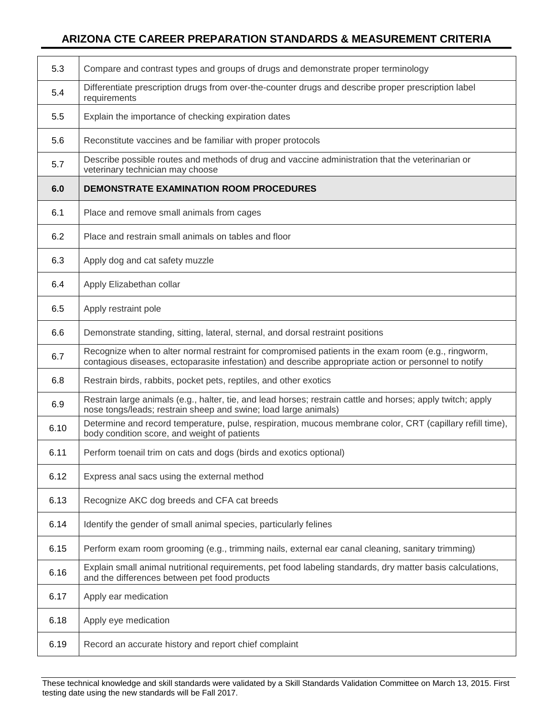| 5.3  | Compare and contrast types and groups of drugs and demonstrate proper terminology                                                                                                                            |
|------|--------------------------------------------------------------------------------------------------------------------------------------------------------------------------------------------------------------|
| 5.4  | Differentiate prescription drugs from over-the-counter drugs and describe proper prescription label<br>requirements                                                                                          |
| 5.5  | Explain the importance of checking expiration dates                                                                                                                                                          |
| 5.6  | Reconstitute vaccines and be familiar with proper protocols                                                                                                                                                  |
| 5.7  | Describe possible routes and methods of drug and vaccine administration that the veterinarian or<br>veterinary technician may choose                                                                         |
| 6.0  | <b>DEMONSTRATE EXAMINATION ROOM PROCEDURES</b>                                                                                                                                                               |
| 6.1  | Place and remove small animals from cages                                                                                                                                                                    |
| 6.2  | Place and restrain small animals on tables and floor                                                                                                                                                         |
| 6.3  | Apply dog and cat safety muzzle                                                                                                                                                                              |
| 6.4  | Apply Elizabethan collar                                                                                                                                                                                     |
| 6.5  | Apply restraint pole                                                                                                                                                                                         |
| 6.6  | Demonstrate standing, sitting, lateral, sternal, and dorsal restraint positions                                                                                                                              |
| 6.7  | Recognize when to alter normal restraint for compromised patients in the exam room (e.g., ringworm,<br>contagious diseases, ectoparasite infestation) and describe appropriate action or personnel to notify |
| 6.8  | Restrain birds, rabbits, pocket pets, reptiles, and other exotics                                                                                                                                            |
| 6.9  | Restrain large animals (e.g., halter, tie, and lead horses; restrain cattle and horses; apply twitch; apply<br>nose tongs/leads; restrain sheep and swine; load large animals)                               |
| 6.10 | Determine and record temperature, pulse, respiration, mucous membrane color, CRT (capillary refill time),<br>body condition score, and weight of patients                                                    |
| 6.11 | Perform toenail trim on cats and dogs (birds and exotics optional)                                                                                                                                           |
| 6.12 | Express anal sacs using the external method                                                                                                                                                                  |
| 6.13 | Recognize AKC dog breeds and CFA cat breeds                                                                                                                                                                  |
| 6.14 | Identify the gender of small animal species, particularly felines                                                                                                                                            |
| 6.15 | Perform exam room grooming (e.g., trimming nails, external ear canal cleaning, sanitary trimming)                                                                                                            |
| 6.16 | Explain small animal nutritional requirements, pet food labeling standards, dry matter basis calculations,<br>and the differences between pet food products                                                  |
| 6.17 | Apply ear medication                                                                                                                                                                                         |
| 6.18 | Apply eye medication                                                                                                                                                                                         |
| 6.19 | Record an accurate history and report chief complaint                                                                                                                                                        |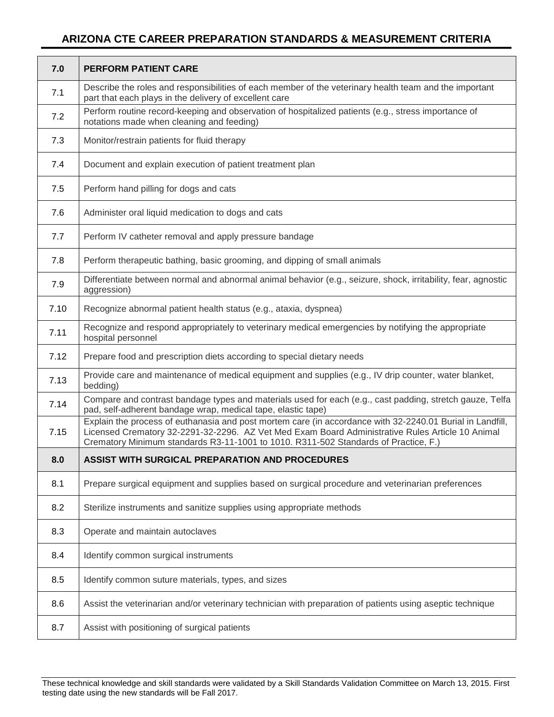| 7.0  | <b>PERFORM PATIENT CARE</b>                                                                                                                                                                                                                                                                          |
|------|------------------------------------------------------------------------------------------------------------------------------------------------------------------------------------------------------------------------------------------------------------------------------------------------------|
| 7.1  | Describe the roles and responsibilities of each member of the veterinary health team and the important<br>part that each plays in the delivery of excellent care                                                                                                                                     |
| 7.2  | Perform routine record-keeping and observation of hospitalized patients (e.g., stress importance of<br>notations made when cleaning and feeding)                                                                                                                                                     |
| 7.3  | Monitor/restrain patients for fluid therapy                                                                                                                                                                                                                                                          |
| 7.4  | Document and explain execution of patient treatment plan                                                                                                                                                                                                                                             |
| 7.5  | Perform hand pilling for dogs and cats                                                                                                                                                                                                                                                               |
| 7.6  | Administer oral liquid medication to dogs and cats                                                                                                                                                                                                                                                   |
| 7.7  | Perform IV catheter removal and apply pressure bandage                                                                                                                                                                                                                                               |
| 7.8  | Perform therapeutic bathing, basic grooming, and dipping of small animals                                                                                                                                                                                                                            |
| 7.9  | Differentiate between normal and abnormal animal behavior (e.g., seizure, shock, irritability, fear, agnostic<br>aggression)                                                                                                                                                                         |
| 7.10 | Recognize abnormal patient health status (e.g., ataxia, dyspnea)                                                                                                                                                                                                                                     |
| 7.11 | Recognize and respond appropriately to veterinary medical emergencies by notifying the appropriate<br>hospital personnel                                                                                                                                                                             |
| 7.12 | Prepare food and prescription diets according to special dietary needs                                                                                                                                                                                                                               |
| 7.13 | Provide care and maintenance of medical equipment and supplies (e.g., IV drip counter, water blanket,<br>bedding)                                                                                                                                                                                    |
| 7.14 | Compare and contrast bandage types and materials used for each (e.g., cast padding, stretch gauze, Telfa<br>pad, self-adherent bandage wrap, medical tape, elastic tape)                                                                                                                             |
| 7.15 | Explain the process of euthanasia and post mortem care (in accordance with 32-2240.01 Burial in Landfill,<br>Licensed Crematory 32-2291-32-2296. AZ Vet Med Exam Board Administrative Rules Article 10 Animal<br>Crematory Minimum standards R3-11-1001 to 1010. R311-502 Standards of Practice, F.) |
| 8.0  | ASSIST WITH SURGICAL PREPARATION AND PROCEDURES                                                                                                                                                                                                                                                      |
| 8.1  | Prepare surgical equipment and supplies based on surgical procedure and veterinarian preferences                                                                                                                                                                                                     |
| 8.2  | Sterilize instruments and sanitize supplies using appropriate methods                                                                                                                                                                                                                                |
| 8.3  | Operate and maintain autoclaves                                                                                                                                                                                                                                                                      |
| 8.4  | Identify common surgical instruments                                                                                                                                                                                                                                                                 |
| 8.5  | Identify common suture materials, types, and sizes                                                                                                                                                                                                                                                   |
| 8.6  | Assist the veterinarian and/or veterinary technician with preparation of patients using aseptic technique                                                                                                                                                                                            |
| 8.7  | Assist with positioning of surgical patients                                                                                                                                                                                                                                                         |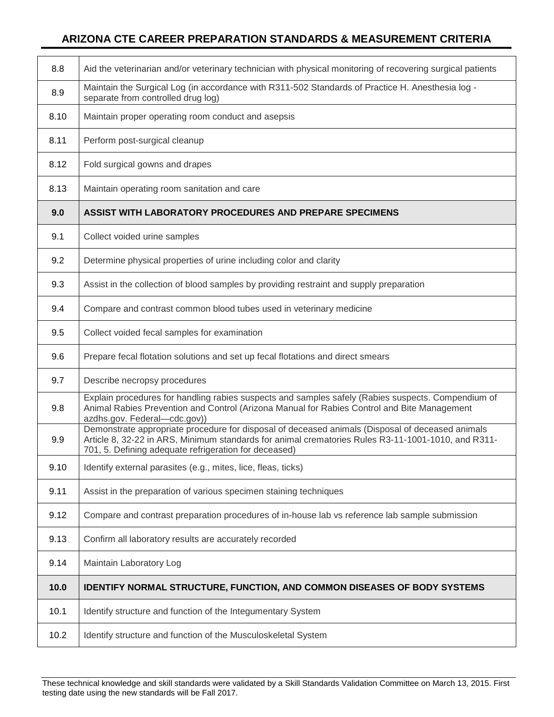| 8.8  | Aid the veterinarian and/or veterinary technician with physical monitoring of recovering surgical patients                                                                                                                                                      |
|------|-----------------------------------------------------------------------------------------------------------------------------------------------------------------------------------------------------------------------------------------------------------------|
| 8.9  | Maintain the Surgical Log (in accordance with R311-502 Standards of Practice H. Anesthesia log -<br>separate from controlled drug log)                                                                                                                          |
| 8.10 | Maintain proper operating room conduct and asepsis                                                                                                                                                                                                              |
| 8.11 | Perform post-surgical cleanup                                                                                                                                                                                                                                   |
| 8.12 | Fold surgical gowns and drapes                                                                                                                                                                                                                                  |
| 8.13 | Maintain operating room sanitation and care                                                                                                                                                                                                                     |
| 9.0  | <b>ASSIST WITH LABORATORY PROCEDURES AND PREPARE SPECIMENS</b>                                                                                                                                                                                                  |
| 9.1  | Collect voided urine samples                                                                                                                                                                                                                                    |
| 9.2  | Determine physical properties of urine including color and clarity                                                                                                                                                                                              |
| 9.3  | Assist in the collection of blood samples by providing restraint and supply preparation                                                                                                                                                                         |
| 9.4  | Compare and contrast common blood tubes used in veterinary medicine                                                                                                                                                                                             |
| 9.5  | Collect voided fecal samples for examination                                                                                                                                                                                                                    |
| 9.6  | Prepare fecal flotation solutions and set up fecal flotations and direct smears                                                                                                                                                                                 |
| 9.7  | Describe necropsy procedures                                                                                                                                                                                                                                    |
| 9.8  | Explain procedures for handling rabies suspects and samples safely (Rabies suspects. Compendium of<br>Animal Rabies Prevention and Control (Arizona Manual for Rabies Control and Bite Management<br>azdhs.gov. Federal-cdc.gov))                               |
| 9.9  | Demonstrate appropriate procedure for disposal of deceased animals (Disposal of deceased animals<br>Article 8, 32-22 in ARS, Minimum standards for animal crematories Rules R3-11-1001-1010, and R311-<br>701, 5. Defining adequate refrigeration for deceased) |
| 9.10 | Identify external parasites (e.g., mites, lice, fleas, ticks)                                                                                                                                                                                                   |
| 9.11 | Assist in the preparation of various specimen staining techniques                                                                                                                                                                                               |
| 9.12 | Compare and contrast preparation procedures of in-house lab vs reference lab sample submission                                                                                                                                                                  |
| 9.13 | Confirm all laboratory results are accurately recorded                                                                                                                                                                                                          |
| 9.14 | Maintain Laboratory Log                                                                                                                                                                                                                                         |
| 10.0 | <b>IDENTIFY NORMAL STRUCTURE, FUNCTION, AND COMMON DISEASES OF BODY SYSTEMS</b>                                                                                                                                                                                 |
| 10.1 | Identify structure and function of the Integumentary System                                                                                                                                                                                                     |
| 10.2 | Identify structure and function of the Musculoskeletal System                                                                                                                                                                                                   |